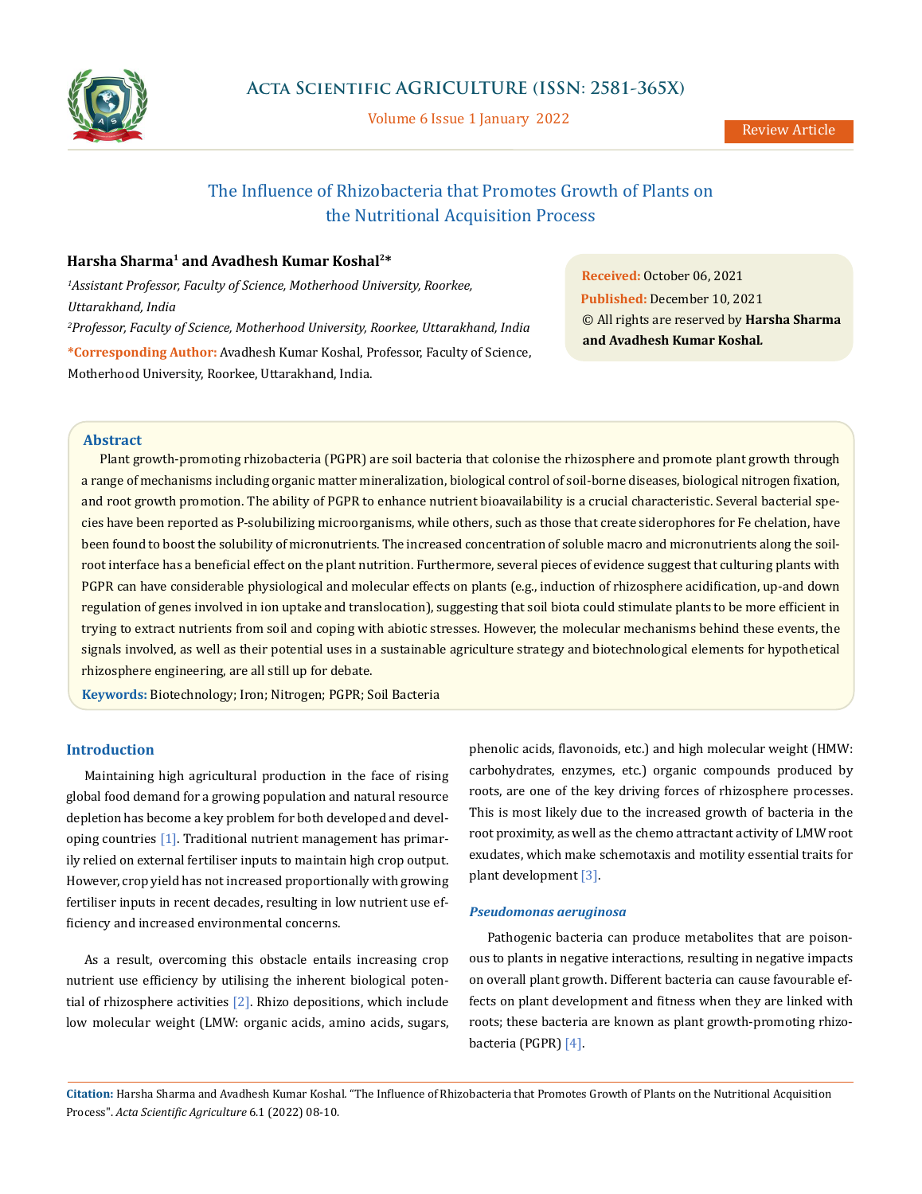

Volume 6 Issue 1 January 2022

# The Influence of Rhizobacteria that Promotes Growth of Plants on the Nutritional Acquisition Process

## **Harsha Sharma1 and Avadhesh Kumar Koshal2\***

*1 Assistant Professor, Faculty of Science, Motherhood University, Roorkee, Uttarakhand, India 2 Professor, Faculty of Science, Motherhood University, Roorkee, Uttarakhand, India* **\*Corresponding Author:** Avadhesh Kumar Koshal, Professor, Faculty of Science, Motherhood University, Roorkee, Uttarakhand, India.

**Received:** October 06, 2021 **Published:** December 10, 2021 © All rights are reserved by **Harsha Sharma and Avadhesh Kumar Koshal***.*

#### **Abstract**

Plant growth-promoting rhizobacteria (PGPR) are soil bacteria that colonise the rhizosphere and promote plant growth through a range of mechanisms including organic matter mineralization, biological control of soil-borne diseases, biological nitrogen fixation, and root growth promotion. The ability of PGPR to enhance nutrient bioavailability is a crucial characteristic. Several bacterial species have been reported as P-solubilizing microorganisms, while others, such as those that create siderophores for Fe chelation, have been found to boost the solubility of micronutrients. The increased concentration of soluble macro and micronutrients along the soilroot interface has a beneficial effect on the plant nutrition. Furthermore, several pieces of evidence suggest that culturing plants with PGPR can have considerable physiological and molecular effects on plants (e.g., induction of rhizosphere acidification, up-and down regulation of genes involved in ion uptake and translocation), suggesting that soil biota could stimulate plants to be more efficient in trying to extract nutrients from soil and coping with abiotic stresses. However, the molecular mechanisms behind these events, the signals involved, as well as their potential uses in a sustainable agriculture strategy and biotechnological elements for hypothetical rhizosphere engineering, are all still up for debate.

**Keywords:** Biotechnology; Iron; Nitrogen; PGPR; Soil Bacteria

### **Introduction**

Maintaining high agricultural production in the face of rising global food demand for a growing population and natural resource depletion has become a key problem for both developed and developing countries [1]. Traditional nutrient management has primarily relied on external fertiliser inputs to maintain high crop output. However, crop yield has not increased proportionally with growing fertiliser inputs in recent decades, resulting in low nutrient use efficiency and increased environmental concerns.

As a result, overcoming this obstacle entails increasing crop nutrient use efficiency by utilising the inherent biological potential of rhizosphere activities [2]. Rhizo depositions, which include low molecular weight (LMW: organic acids, amino acids, sugars,

phenolic acids, flavonoids, etc.) and high molecular weight (HMW: carbohydrates, enzymes, etc.) organic compounds produced by roots, are one of the key driving forces of rhizosphere processes. This is most likely due to the increased growth of bacteria in the root proximity, as well as the chemo attractant activity of LMW root exudates, which make schemotaxis and motility essential traits for plant development [3].

#### *Pseudomonas aeruginosa*

Pathogenic bacteria can produce metabolites that are poisonous to plants in negative interactions, resulting in negative impacts on overall plant growth. Different bacteria can cause favourable effects on plant development and fitness when they are linked with roots; these bacteria are known as plant growth-promoting rhizobacteria (PGPR) [4].

**Citation:** Harsha Sharma and Avadhesh Kumar Koshal*.* "The Influence of Rhizobacteria that Promotes Growth of Plants on the Nutritional Acquisition Process". *Acta Scientific Agriculture* 6.1 (2022) 08-10.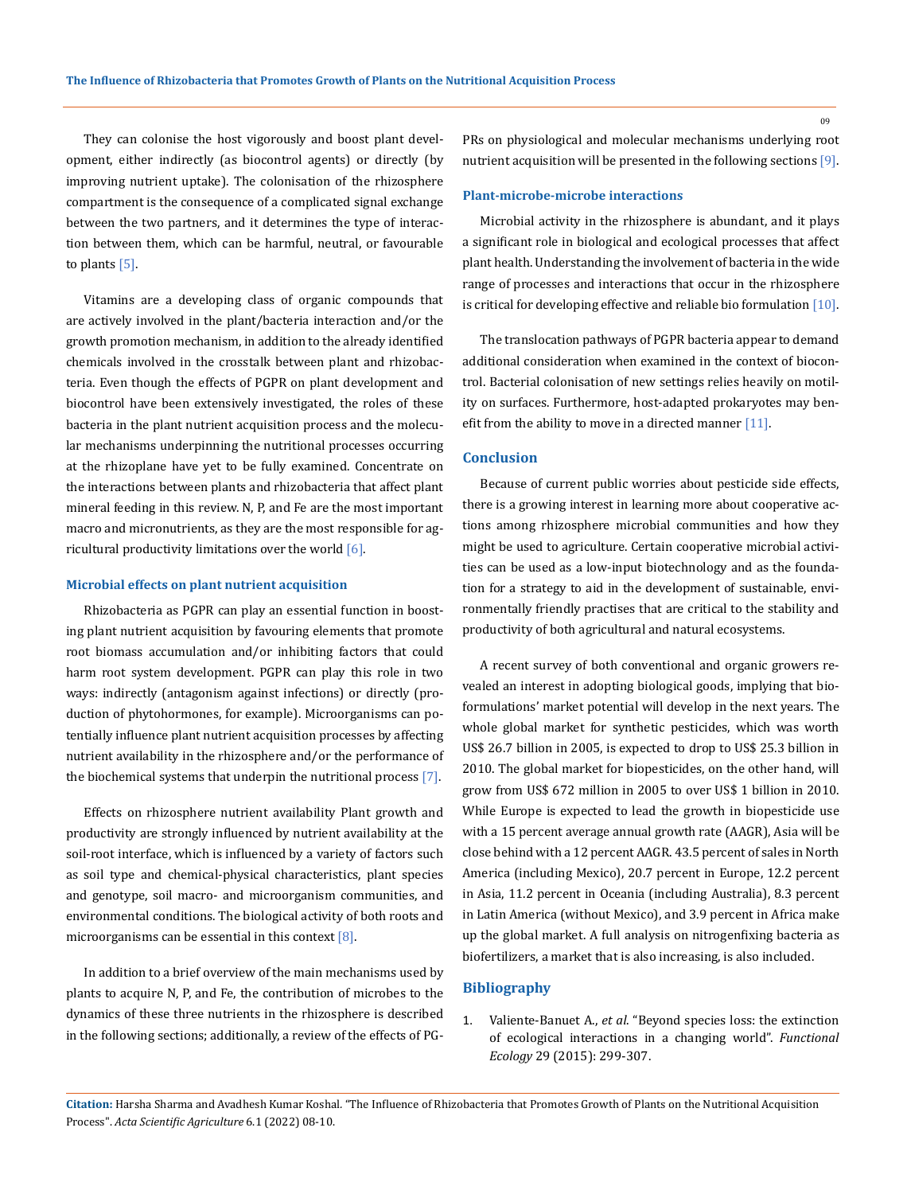They can colonise the host vigorously and boost plant development, either indirectly (as biocontrol agents) or directly (by improving nutrient uptake). The colonisation of the rhizosphere compartment is the consequence of a complicated signal exchange between the two partners, and it determines the type of interaction between them, which can be harmful, neutral, or favourable to plants  $[5]$ .

Vitamins are a developing class of organic compounds that are actively involved in the plant/bacteria interaction and/or the growth promotion mechanism, in addition to the already identified chemicals involved in the crosstalk between plant and rhizobacteria. Even though the effects of PGPR on plant development and biocontrol have been extensively investigated, the roles of these bacteria in the plant nutrient acquisition process and the molecular mechanisms underpinning the nutritional processes occurring at the rhizoplane have yet to be fully examined. Concentrate on the interactions between plants and rhizobacteria that affect plant mineral feeding in this review. N, P, and Fe are the most important macro and micronutrients, as they are the most responsible for agricultural productivity limitations over the world  $[6]$ .

#### **Microbial effects on plant nutrient acquisition**

Rhizobacteria as PGPR can play an essential function in boosting plant nutrient acquisition by favouring elements that promote root biomass accumulation and/or inhibiting factors that could harm root system development. PGPR can play this role in two ways: indirectly (antagonism against infections) or directly (production of phytohormones, for example). Microorganisms can potentially influence plant nutrient acquisition processes by affecting nutrient availability in the rhizosphere and/or the performance of the biochemical systems that underpin the nutritional process [7].

Effects on rhizosphere nutrient availability Plant growth and productivity are strongly influenced by nutrient availability at the soil-root interface, which is influenced by a variety of factors such as soil type and chemical-physical characteristics, plant species and genotype, soil macro- and microorganism communities, and environmental conditions. The biological activity of both roots and microorganisms can be essential in this context [8].

In addition to a brief overview of the main mechanisms used by plants to acquire N, P, and Fe, the contribution of microbes to the dynamics of these three nutrients in the rhizosphere is described in the following sections; additionally, a review of the effects of PG- PRs on physiological and molecular mechanisms underlying root nutrient acquisition will be presented in the following sections [9].

#### **Plant-microbe-microbe interactions**

Microbial activity in the rhizosphere is abundant, and it plays a significant role in biological and ecological processes that affect plant health. Understanding the involvement of bacteria in the wide range of processes and interactions that occur in the rhizosphere is critical for developing effective and reliable bio formulation  $[10]$ .

The translocation pathways of PGPR bacteria appear to demand additional consideration when examined in the context of biocontrol. Bacterial colonisation of new settings relies heavily on motility on surfaces. Furthermore, host-adapted prokaryotes may benefit from the ability to move in a directed manner [11].

#### **Conclusion**

Because of current public worries about pesticide side effects, there is a growing interest in learning more about cooperative actions among rhizosphere microbial communities and how they might be used to agriculture. Certain cooperative microbial activities can be used as a low-input biotechnology and as the foundation for a strategy to aid in the development of sustainable, environmentally friendly practises that are critical to the stability and productivity of both agricultural and natural ecosystems.

A recent survey of both conventional and organic growers revealed an interest in adopting biological goods, implying that bioformulations' market potential will develop in the next years. The whole global market for synthetic pesticides, which was worth US\$ 26.7 billion in 2005, is expected to drop to US\$ 25.3 billion in 2010. The global market for biopesticides, on the other hand, will grow from US\$ 672 million in 2005 to over US\$ 1 billion in 2010. While Europe is expected to lead the growth in biopesticide use with a 15 percent average annual growth rate (AAGR), Asia will be close behind with a 12 percent AAGR. 43.5 percent of sales in North America (including Mexico), 20.7 percent in Europe, 12.2 percent in Asia, 11.2 percent in Oceania (including Australia), 8.3 percent in Latin America (without Mexico), and 3.9 percent in Africa make up the global market. A full analysis on nitrogenfixing bacteria as biofertilizers, a market that is also increasing, is also included.

## **Bibliography**

1. Valiente-Banuet A., *et al*[. "Beyond species loss: the extinction](https://besjournals.onlinelibrary.wiley.com/doi/10.1111/1365-2435.12356) [of ecological interactions in a changing world".](https://besjournals.onlinelibrary.wiley.com/doi/10.1111/1365-2435.12356) *Functional Ecology* [29 \(2015\): 299-307.](https://besjournals.onlinelibrary.wiley.com/doi/10.1111/1365-2435.12356)

09

**Citation:** Harsha Sharma and Avadhesh Kumar Koshal*.* "The Influence of Rhizobacteria that Promotes Growth of Plants on the Nutritional Acquisition Process". *Acta Scientific Agriculture* 6.1 (2022) 08-10.